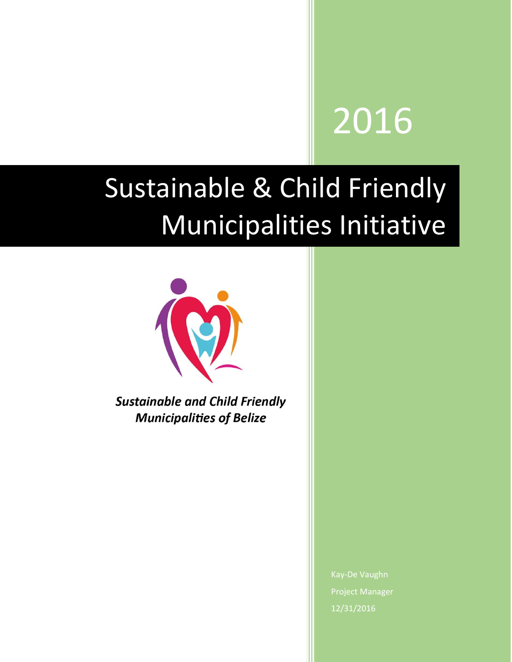# 2016

## Sustainable & Child Friendly Municipalities Initiative



**Sustainable and Child Friendly Municipalities of Belize** 

> Kay-De Vaughn Project Manager 12/31/2016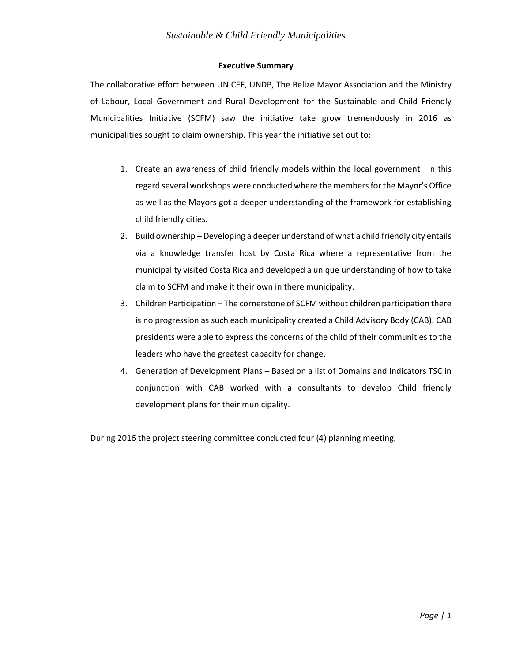#### **Executive Summary**

The collaborative effort between UNICEF, UNDP, The Belize Mayor Association and the Ministry of Labour, Local Government and Rural Development for the Sustainable and Child Friendly Municipalities Initiative (SCFM) saw the initiative take grow tremendously in 2016 as municipalities sought to claim ownership. This year the initiative set out to:

- 1. Create an awareness of child friendly models within the local government– in this regard several workshops were conducted where the members for the Mayor's Office as well as the Mayors got a deeper understanding of the framework for establishing child friendly cities.
- 2. Build ownership Developing a deeper understand of what a child friendly city entails via a knowledge transfer host by Costa Rica where a representative from the municipality visited Costa Rica and developed a unique understanding of how to take claim to SCFM and make it their own in there municipality.
- 3. Children Participation The cornerstone of SCFM without children participation there is no progression as such each municipality created a Child Advisory Body (CAB). CAB presidents were able to express the concerns of the child of their communities to the leaders who have the greatest capacity for change.
- 4. Generation of Development Plans Based on a list of Domains and Indicators TSC in conjunction with CAB worked with a consultants to develop Child friendly development plans for their municipality.

During 2016 the project steering committee conducted four (4) planning meeting.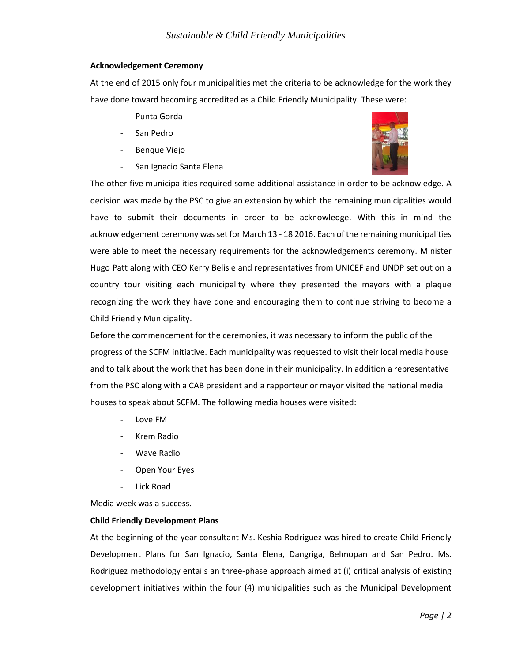#### **Acknowledgement Ceremony**

At the end of 2015 only four municipalities met the criteria to be acknowledge for the work they have done toward becoming accredited as a Child Friendly Municipality. These were:

- Punta Gorda
- San Pedro
- Benque Viejo
- San Ignacio Santa Elena



The other five municipalities required some additional assistance in order to be acknowledge. A decision was made by the PSC to give an extension by which the remaining municipalities would have to submit their documents in order to be acknowledge. With this in mind the acknowledgement ceremony wasset for March 13 - 18 2016. Each of the remaining municipalities were able to meet the necessary requirements for the acknowledgements ceremony. Minister Hugo Patt along with CEO Kerry Belisle and representatives from UNICEF and UNDP set out on a country tour visiting each municipality where they presented the mayors with a plaque recognizing the work they have done and encouraging them to continue striving to become a Child Friendly Municipality.

Before the commencement for the ceremonies, it was necessary to inform the public of the progress of the SCFM initiative. Each municipality was requested to visit their local media house and to talk about the work that has been done in their municipality. In addition a representative from the PSC along with a CAB president and a rapporteur or mayor visited the national media houses to speak about SCFM. The following media houses were visited:

- Love FM
- Krem Radio
- Wave Radio
- Open Your Eyes
- Lick Road

Media week was a success.

#### **Child Friendly Development Plans**

At the beginning of the year consultant Ms. Keshia Rodriguez was hired to create Child Friendly Development Plans for San Ignacio, Santa Elena, Dangriga, Belmopan and San Pedro. Ms. Rodriguez methodology entails an three-phase approach aimed at (i) critical analysis of existing development initiatives within the four (4) municipalities such as the Municipal Development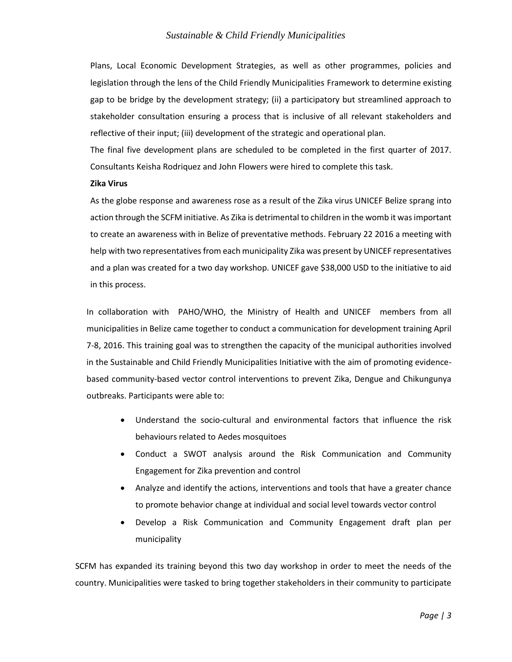#### *Sustainable & Child Friendly Municipalities*

Plans, Local Economic Development Strategies, as well as other programmes, policies and legislation through the lens of the Child Friendly Municipalities Framework to determine existing gap to be bridge by the development strategy; (ii) a participatory but streamlined approach to stakeholder consultation ensuring a process that is inclusive of all relevant stakeholders and reflective of their input; (iii) development of the strategic and operational plan.

The final five development plans are scheduled to be completed in the first quarter of 2017. Consultants Keisha Rodriquez and John Flowers were hired to complete this task.

#### **Zika Virus**

As the globe response and awareness rose as a result of the Zika virus UNICEF Belize sprang into action through the SCFM initiative. As Zika is detrimental to children in the womb it was important to create an awareness with in Belize of preventative methods. February 22 2016 a meeting with help with two representatives from each municipality Zika was present by UNICEF representatives and a plan was created for a two day workshop. UNICEF gave \$38,000 USD to the initiative to aid in this process.

In collaboration with PAHO/WHO, the Ministry of Health and UNICEF members from all municipalities in Belize came together to conduct a communication for development training April 7-8, 2016. This training goal was to strengthen the capacity of the municipal authorities involved in the Sustainable and Child Friendly Municipalities Initiative with the aim of promoting evidencebased community-based vector control interventions to prevent Zika, Dengue and Chikungunya outbreaks. Participants were able to:

- Understand the socio-cultural and environmental factors that influence the risk behaviours related to Aedes mosquitoes
- Conduct a SWOT analysis around the Risk Communication and Community Engagement for Zika prevention and control
- Analyze and identify the actions, interventions and tools that have a greater chance to promote behavior change at individual and social level towards vector control
- Develop a Risk Communication and Community Engagement draft plan per municipality

SCFM has expanded its training beyond this two day workshop in order to meet the needs of the country. Municipalities were tasked to bring together stakeholders in their community to participate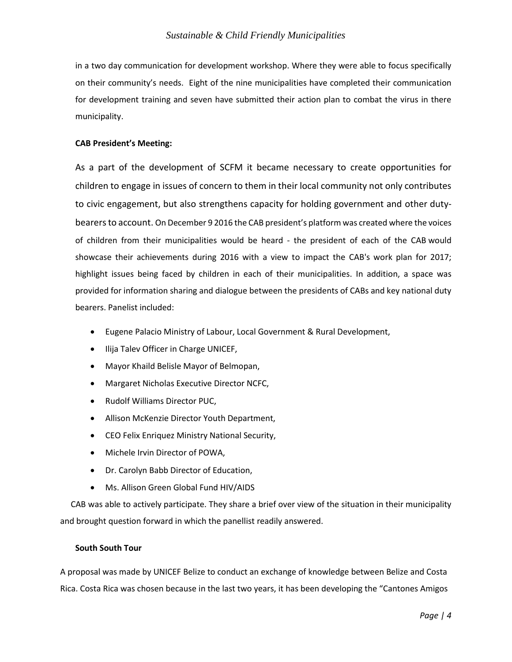in a two day communication for development workshop. Where they were able to focus specifically on their community's needs. Eight of the nine municipalities have completed their communication for development training and seven have submitted their action plan to combat the virus in there municipality.

#### **CAB President's Meeting:**

As a part of the development of SCFM it became necessary to create opportunities for children to engage in issues of concern to them in their local community not only contributes to civic engagement, but also strengthens capacity for holding government and other dutybearers to account. On December 9 2016 the CAB president's platform was created where the voices of children from their municipalities would be heard - the president of each of the CAB would showcase their achievements during 2016 with a view to impact the CAB's work plan for 2017; highlight issues being faced by children in each of their municipalities. In addition, a space was provided for information sharing and dialogue between the presidents of CABs and key national duty bearers. Panelist included:

- Eugene Palacio Ministry of Labour, Local Government & Rural Development,
- Ilija Talev Officer in Charge UNICEF,
- Mayor Khaild Belisle Mayor of Belmopan,
- Margaret Nicholas Executive Director NCFC,
- Rudolf Williams Director PUC,
- Allison McKenzie Director Youth Department,
- CEO Felix Enriquez Ministry National Security,
- Michele Irvin Director of POWA,
- Dr. Carolyn Babb Director of Education,
- Ms. Allison Green Global Fund HIV/AIDS

 CAB was able to actively participate. They share a brief over view of the situation in their municipality and brought question forward in which the panellist readily answered.

#### **South South Tour**

A proposal was made by UNICEF Belize to conduct an exchange of knowledge between Belize and Costa Rica. Costa Rica was chosen because in the last two years, it has been developing the "Cantones Amigos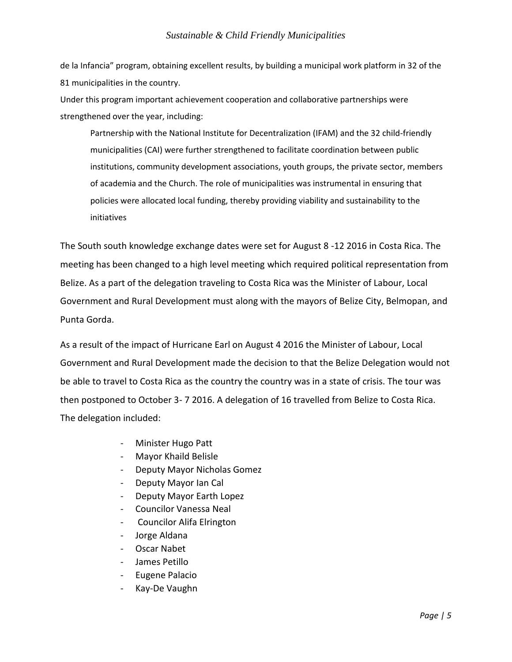de la Infancia" program, obtaining excellent results, by building a municipal work platform in 32 of the 81 municipalities in the country.

Under this program important achievement cooperation and collaborative partnerships were strengthened over the year, including:

Partnership with the National Institute for Decentralization (IFAM) and the 32 child-friendly municipalities (CAI) were further strengthened to facilitate coordination between public institutions, community development associations, youth groups, the private sector, members of academia and the Church. The role of municipalities was instrumental in ensuring that policies were allocated local funding, thereby providing viability and sustainability to the initiatives

The South south knowledge exchange dates were set for August 8 -12 2016 in Costa Rica. The meeting has been changed to a high level meeting which required political representation from Belize. As a part of the delegation traveling to Costa Rica was the Minister of Labour, Local Government and Rural Development must along with the mayors of Belize City, Belmopan, and Punta Gorda.

As a result of the impact of Hurricane Earl on August 4 2016 the Minister of Labour, Local Government and Rural Development made the decision to that the Belize Delegation would not be able to travel to Costa Rica as the country the country was in a state of crisis. The tour was then postponed to October 3- 7 2016. A delegation of 16 travelled from Belize to Costa Rica. The delegation included:

- Minister Hugo Patt
- Mayor Khaild Belisle
- Deputy Mayor Nicholas Gomez
- Deputy Mayor Ian Cal
- Deputy Mayor Earth Lopez
- Councilor Vanessa Neal
- Councilor Alifa Elrington
- Jorge Aldana
- Oscar Nabet
- James Petillo
- Eugene Palacio
- Kay-De Vaughn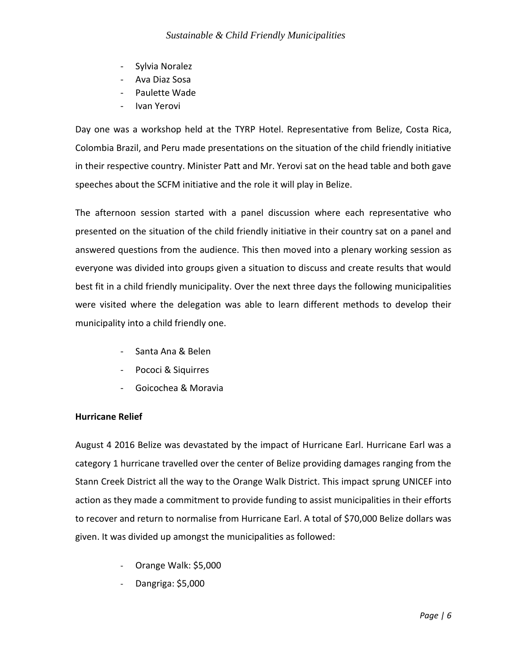- Sylvia Noralez
- Ava Diaz Sosa
- Paulette Wade
- Ivan Yerovi

Day one was a workshop held at the TYRP Hotel. Representative from Belize, Costa Rica, Colombia Brazil, and Peru made presentations on the situation of the child friendly initiative in their respective country. Minister Patt and Mr. Yerovi sat on the head table and both gave speeches about the SCFM initiative and the role it will play in Belize.

The afternoon session started with a panel discussion where each representative who presented on the situation of the child friendly initiative in their country sat on a panel and answered questions from the audience. This then moved into a plenary working session as everyone was divided into groups given a situation to discuss and create results that would best fit in a child friendly municipality. Over the next three days the following municipalities were visited where the delegation was able to learn different methods to develop their municipality into a child friendly one.

- Santa Ana & Belen
- Pococi & Siquirres
- Goicochea & Moravia

#### **Hurricane Relief**

August 4 2016 Belize was devastated by the impact of Hurricane Earl. Hurricane Earl was a category 1 hurricane travelled over the center of Belize providing damages ranging from the Stann Creek District all the way to the Orange Walk District. This impact sprung UNICEF into action as they made a commitment to provide funding to assist municipalities in their efforts to recover and return to normalise from Hurricane Earl. A total of \$70,000 Belize dollars was given. It was divided up amongst the municipalities as followed:

- Orange Walk: \$5,000
- Dangriga: \$5,000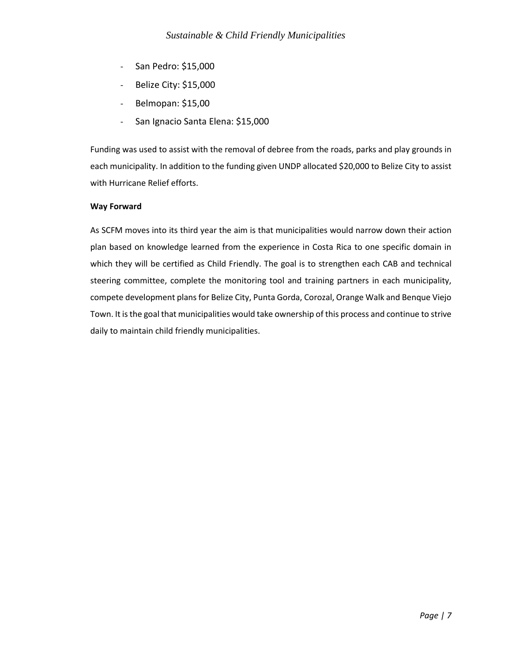- San Pedro: \$15,000
- Belize City: \$15,000
- Belmopan: \$15,00
- San Ignacio Santa Elena: \$15,000

Funding was used to assist with the removal of debree from the roads, parks and play grounds in each municipality. In addition to the funding given UNDP allocated \$20,000 to Belize City to assist with Hurricane Relief efforts.

#### **Way Forward**

As SCFM moves into its third year the aim is that municipalities would narrow down their action plan based on knowledge learned from the experience in Costa Rica to one specific domain in which they will be certified as Child Friendly. The goal is to strengthen each CAB and technical steering committee, complete the monitoring tool and training partners in each municipality, compete development plans for Belize City, Punta Gorda, Corozal, Orange Walk and Benque Viejo Town. It is the goal that municipalities would take ownership of this process and continue to strive daily to maintain child friendly municipalities.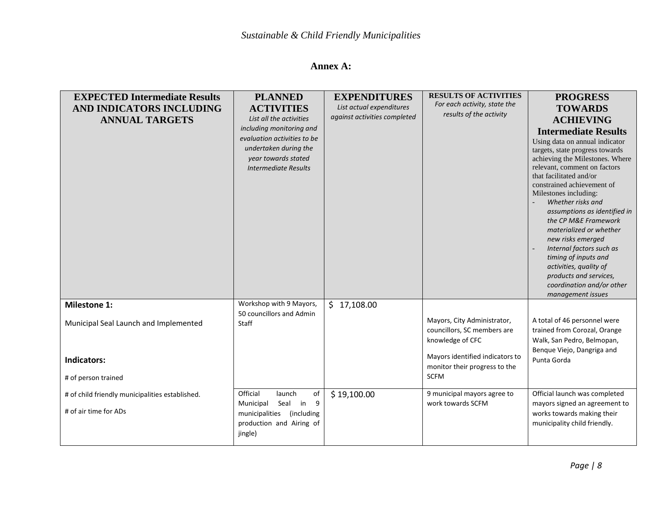### **Annex A:**

| <b>EXPECTED Intermediate Results</b><br>AND INDICATORS INCLUDING | <b>PLANNED</b><br><b>ACTIVITIES</b>          | <b>EXPENDITURES</b><br>List actual expenditures | <b>RESULTS OF ACTIVITIES</b><br>For each activity, state the<br>results of the activity | <b>PROGRESS</b><br><b>TOWARDS</b>                                  |
|------------------------------------------------------------------|----------------------------------------------|-------------------------------------------------|-----------------------------------------------------------------------------------------|--------------------------------------------------------------------|
| <b>ANNUAL TARGETS</b>                                            | List all the activities                      | against activities completed                    |                                                                                         | <b>ACHIEVING</b>                                                   |
|                                                                  | including monitoring and                     |                                                 |                                                                                         | <b>Intermediate Results</b>                                        |
|                                                                  | evaluation activities to be                  |                                                 |                                                                                         | Using data on annual indicator                                     |
|                                                                  | undertaken during the<br>year towards stated |                                                 |                                                                                         | targets, state progress towards<br>achieving the Milestones. Where |
|                                                                  | <b>Intermediate Results</b>                  |                                                 |                                                                                         | relevant, comment on factors                                       |
|                                                                  |                                              |                                                 |                                                                                         | that facilitated and/or                                            |
|                                                                  |                                              |                                                 |                                                                                         | constrained achievement of                                         |
|                                                                  |                                              |                                                 |                                                                                         | Milestones including:<br>Whether risks and                         |
|                                                                  |                                              |                                                 |                                                                                         | assumptions as identified in                                       |
|                                                                  |                                              |                                                 |                                                                                         | the CP M&E Framework                                               |
|                                                                  |                                              |                                                 |                                                                                         | materialized or whether                                            |
|                                                                  |                                              |                                                 |                                                                                         | new risks emerged                                                  |
|                                                                  |                                              |                                                 |                                                                                         | Internal factors such as<br>timing of inputs and                   |
|                                                                  |                                              |                                                 |                                                                                         | activities, quality of                                             |
|                                                                  |                                              |                                                 |                                                                                         | products and services,                                             |
|                                                                  |                                              |                                                 |                                                                                         | coordination and/or other                                          |
| <b>Milestone 1:</b>                                              | Workshop with 9 Mayors,                      | \$17,108.00                                     |                                                                                         | management issues                                                  |
|                                                                  | 50 councillors and Admin                     |                                                 |                                                                                         |                                                                    |
| Municipal Seal Launch and Implemented                            | Staff                                        |                                                 | Mayors, City Administrator,                                                             | A total of 46 personnel were                                       |
|                                                                  |                                              |                                                 | councillors, SC members are                                                             | trained from Corozal, Orange                                       |
|                                                                  |                                              |                                                 | knowledge of CFC                                                                        | Walk, San Pedro, Belmopan,                                         |
| Indicators:                                                      |                                              |                                                 | Mayors identified indicators to                                                         | Benque Viejo, Dangriga and<br>Punta Gorda                          |
|                                                                  |                                              |                                                 | monitor their progress to the                                                           |                                                                    |
| # of person trained                                              |                                              |                                                 | <b>SCFM</b>                                                                             |                                                                    |
| # of child friendly municipalities established.                  | Official<br>of<br>launch                     | \$19,100.00                                     | 9 municipal mayors agree to                                                             | Official launch was completed                                      |
| # of air time for ADs                                            | Municipal<br>Seal in<br>9                    |                                                 | work towards SCFM                                                                       | mayors signed an agreement to                                      |
|                                                                  | municipalities (including                    |                                                 |                                                                                         | works towards making their                                         |
|                                                                  | production and Airing of<br>jingle)          |                                                 |                                                                                         | municipality child friendly.                                       |
|                                                                  |                                              |                                                 |                                                                                         |                                                                    |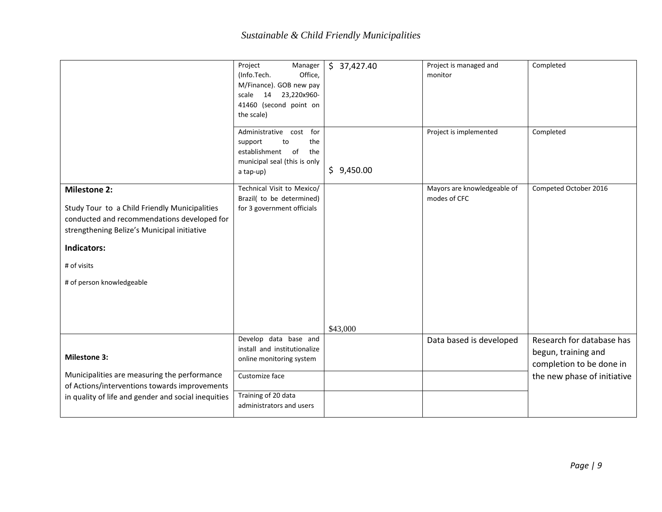|                                                                                                                                                                                                                                      | Project<br>Manager<br>(Info.Tech.<br>Office,<br>M/Finance). GOB new pay<br>23,220x960-<br>scale<br>14<br>41460 (second point on<br>the scale)          | \$37,427.40 | Project is managed and<br>monitor           | Completed                                                                                                   |
|--------------------------------------------------------------------------------------------------------------------------------------------------------------------------------------------------------------------------------------|--------------------------------------------------------------------------------------------------------------------------------------------------------|-------------|---------------------------------------------|-------------------------------------------------------------------------------------------------------------|
|                                                                                                                                                                                                                                      | Administrative cost<br>for<br>support<br>the<br>to<br>establishment of<br>the<br>municipal seal (this is only<br>a tap-up)                             | \$9,450.00  | Project is implemented                      | Completed                                                                                                   |
| <b>Milestone 2:</b><br>Study Tour to a Child Friendly Municipalities<br>conducted and recommendations developed for<br>strengthening Belize's Municipal initiative<br><b>Indicators:</b><br># of visits<br># of person knowledgeable | Technical Visit to Mexico/<br>Brazil( to be determined)<br>for 3 government officials                                                                  | \$43,000    | Mayors are knowledgeable of<br>modes of CFC | Competed October 2016                                                                                       |
| <b>Milestone 3:</b><br>Municipalities are measuring the performance<br>of Actions/interventions towards improvements<br>in quality of life and gender and social inequities                                                          | Develop data base and<br>install and institutionalize<br>online monitoring system<br>Customize face<br>Training of 20 data<br>administrators and users |             | Data based is developed                     | Research for database has<br>begun, training and<br>completion to be done in<br>the new phase of initiative |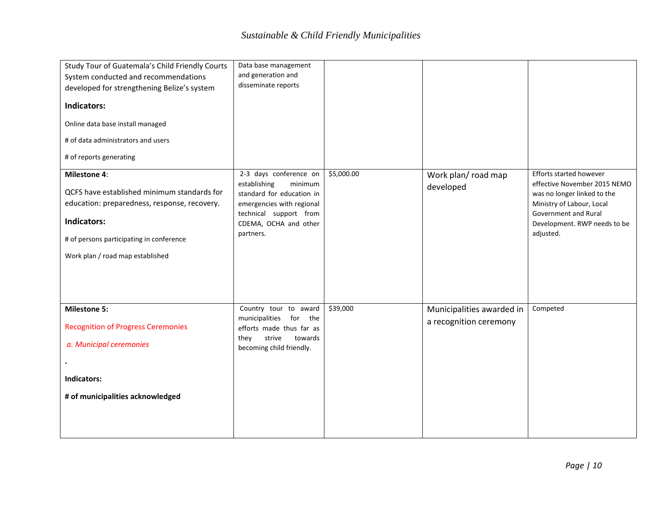| Study Tour of Guatemala's Child Friendly Courts<br>System conducted and recommendations<br>developed for strengthening Belize's system | Data base management<br>and generation and<br>disseminate reports |            |                           |                                                         |
|----------------------------------------------------------------------------------------------------------------------------------------|-------------------------------------------------------------------|------------|---------------------------|---------------------------------------------------------|
| <b>Indicators:</b>                                                                                                                     |                                                                   |            |                           |                                                         |
| Online data base install managed                                                                                                       |                                                                   |            |                           |                                                         |
| # of data administrators and users                                                                                                     |                                                                   |            |                           |                                                         |
| # of reports generating                                                                                                                |                                                                   |            |                           |                                                         |
| <b>Milestone 4:</b>                                                                                                                    | 2-3 days conference on<br>establishing<br>minimum                 | \$5,000.00 | Work plan/road map        | Efforts started however<br>effective November 2015 NEMO |
| QCFS have established minimum standards for                                                                                            | standard for education in                                         |            | developed                 | was no longer linked to the                             |
| education: preparedness, response, recovery.                                                                                           | emergencies with regional                                         |            |                           | Ministry of Labour, Local<br>Government and Rural       |
| Indicators:                                                                                                                            | technical support from<br>CDEMA, OCHA and other                   |            |                           | Development. RWP needs to be                            |
| # of persons participating in conference                                                                                               | partners.                                                         |            |                           | adjusted.                                               |
| Work plan / road map established                                                                                                       |                                                                   |            |                           |                                                         |
|                                                                                                                                        |                                                                   |            |                           |                                                         |
|                                                                                                                                        |                                                                   |            |                           |                                                         |
| <b>Milestone 5:</b>                                                                                                                    | Country tour to award<br>municipalities for the                   | \$39,000   | Municipalities awarded in | Competed                                                |
| <b>Recognition of Progress Ceremonies</b>                                                                                              | efforts made thus far as                                          |            | a recognition ceremony    |                                                         |
| a. Municipal ceremonies                                                                                                                | strive<br>towards<br>they<br>becoming child friendly.             |            |                           |                                                         |
|                                                                                                                                        |                                                                   |            |                           |                                                         |
| Indicators:                                                                                                                            |                                                                   |            |                           |                                                         |
| # of municipalities acknowledged                                                                                                       |                                                                   |            |                           |                                                         |
|                                                                                                                                        |                                                                   |            |                           |                                                         |
|                                                                                                                                        |                                                                   |            |                           |                                                         |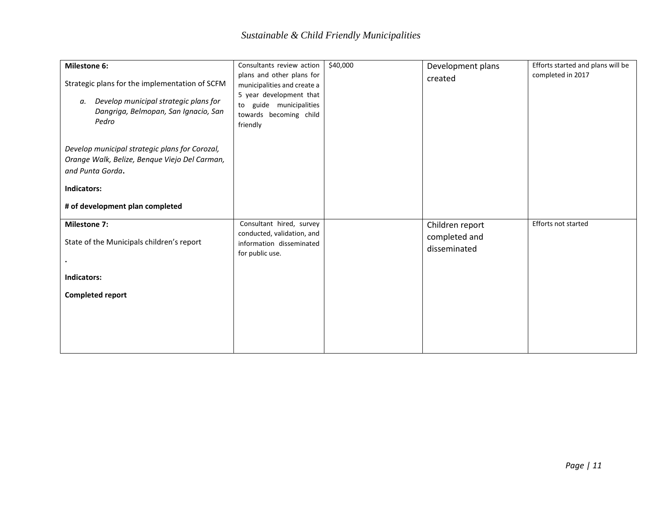| <b>Milestone 6:</b>                                                                                                                                                   | Consultants review action                                                                                                                               | \$40,000 | Development plans                                | Efforts started and plans will be |
|-----------------------------------------------------------------------------------------------------------------------------------------------------------------------|---------------------------------------------------------------------------------------------------------------------------------------------------------|----------|--------------------------------------------------|-----------------------------------|
| Strategic plans for the implementation of SCFM<br>Develop municipal strategic plans for<br>а.<br>Dangriga, Belmopan, San Ignacio, San<br>Pedro                        | plans and other plans for<br>municipalities and create a<br>5 year development that<br>guide municipalities<br>to<br>towards becoming child<br>friendly |          | created                                          | completed in 2017                 |
| Develop municipal strategic plans for Corozal,<br>Orange Walk, Belize, Benque Viejo Del Carman,<br>and Punta Gorda.<br>Indicators:<br># of development plan completed |                                                                                                                                                         |          |                                                  |                                   |
| <b>Milestone 7:</b><br>State of the Municipals children's report                                                                                                      | Consultant hired, survey<br>conducted, validation, and<br>information disseminated<br>for public use.                                                   |          | Children report<br>completed and<br>disseminated | Efforts not started               |
| Indicators:                                                                                                                                                           |                                                                                                                                                         |          |                                                  |                                   |
| <b>Completed report</b>                                                                                                                                               |                                                                                                                                                         |          |                                                  |                                   |
|                                                                                                                                                                       |                                                                                                                                                         |          |                                                  |                                   |